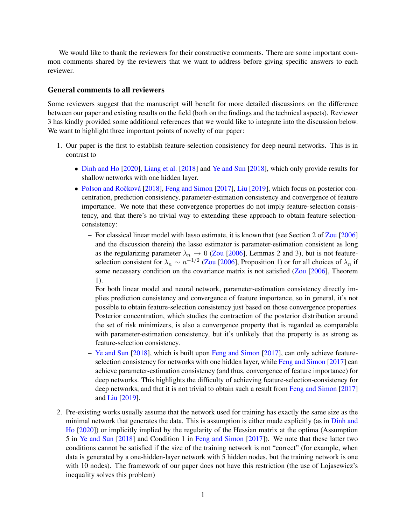We would like to thank the reviewers for their constructive comments. There are some important common comments shared by the reviewers that we want to address before giving specific answers to each reviewer.

#### General comments to all reviewers

Some reviewers suggest that the manuscript will benefit for more detailed discussions on the difference between our paper and existing results on the field (both on the findings and the technical aspects). Reviewer 3 has kindly provided some additional references that we would like to integrate into the discussion below. We want to highlight three important points of novelty of our paper:

- 1. Our paper is the first to establish feature-selection consistency for deep neural networks. This is in contrast to
	- [Dinh and Ho](#page-4-0) [\[2020\]](#page-4-0), [Liang et al.](#page-4-1) [\[2018\]](#page-4-1) and [Ye and Sun](#page-4-2) [\[2018\]](#page-4-2), which only provide results for shallow networks with one hidden layer.
	- Polson and Ročková [\[2018\]](#page-4-3), [Feng and Simon](#page-4-4) [\[2017\]](#page-4-4), [Liu](#page-4-5) [\[2019\]](#page-4-5), which focus on posterior concentration, prediction consistency, parameter-estimation consistency and convergence of feature importance. We note that these convergence properties do not imply feature-selection consistency, and that there's no trivial way to extending these approach to obtain feature-selectionconsistency:
		- For classical linear model with lasso estimate, it is known that (see Section 2 of [Zou](#page-4-6) [\[2006\]](#page-4-6) and the discussion therein) the lasso estimator is parameter-estimation consistent as long as the regularizing parameter  $\lambda_n \to 0$  [\(Zou](#page-4-6) [\[2006\]](#page-4-6), Lemmas 2 and 3), but is not featureselection consistent for  $\lambda_n \sim n^{-1/2}$  [\(Zou](#page-4-6) [\[2006\]](#page-4-6), Proposition 1) or for all choices of  $\lambda_n$  if some necessary condition on the covariance matrix is not satisfied [\(Zou](#page-4-6) [\[2006\]](#page-4-6), Theorem 1).

For both linear model and neural network, parameter-estimation consistency directly implies prediction consistency and convergence of feature importance, so in general, it's not possible to obtain feature-selection consistency just based on those convergence properties. Posterior concentration, which studies the contraction of the posterior distribution around the set of risk minimizers, is also a convergence property that is regarded as comparable with parameter-estimation consistency, but it's unlikely that the property is as strong as feature-selection consistency.

- [Ye and Sun](#page-4-2) [\[2018\]](#page-4-2), which is built upon [Feng and Simon](#page-4-4) [\[2017\]](#page-4-4), can only achieve featureselection consistency for networks with one hidden layer, while [Feng and Simon](#page-4-4) [\[2017\]](#page-4-4) can achieve parameter-estimation consistency (and thus, convergence of feature importance) for deep networks. This highlights the difficulty of achieving feature-selection-consistency for deep networks, and that it is not trivial to obtain such a result from [Feng and Simon](#page-4-4) [\[2017\]](#page-4-4) and [Liu](#page-4-5) [\[2019\]](#page-4-5).
- 2. Pre-existing works usually assume that the network used for training has exactly the same size as the minimal network that generates the data. This is assumption is either made explicitly (as in [Dinh and](#page-4-0) [Ho](#page-4-0) [\[2020\]](#page-4-0)) or implicitly implied by the regularity of the Hessian matrix at the optima (Assumption 5 in [Ye and Sun](#page-4-2) [\[2018\]](#page-4-2) and Condition 1 in [Feng and Simon](#page-4-4) [\[2017\]](#page-4-4)). We note that these latter two conditions cannot be satisfied if the size of the training network is not "correct" (for example, when data is generated by a one-hidden-layer network with 5 hidden nodes, but the training network is one with 10 nodes). The framework of our paper does not have this restriction (the use of Lojasewicz's inequality solves this problem)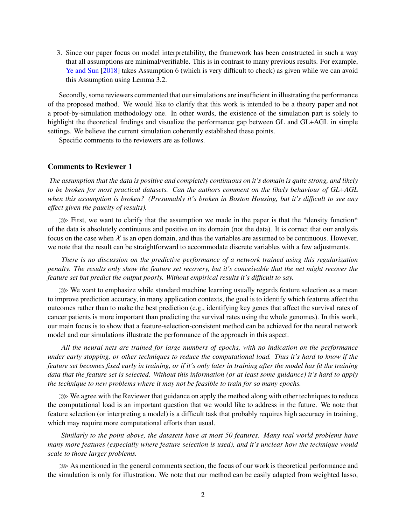3. Since our paper focus on model interpretability, the framework has been constructed in such a way that all assumptions are minimal/verifiable. This is in contrast to many previous results. For example, [Ye and Sun](#page-4-2) [\[2018\]](#page-4-2) takes Assumption 6 (which is very difficult to check) as given while we can avoid this Assumption using Lemma 3.2.

Secondly, some reviewers commented that our simulations are insufficient in illustrating the performance of the proposed method. We would like to clarify that this work is intended to be a theory paper and not a proof-by-simulation methodology one. In other words, the existence of the simulation part is solely to highlight the theoretical findings and visualize the performance gap between GL and GL+AGL in simple settings. We believe the current simulation coherently established these points.

Specific comments to the reviewers are as follows.

### Comments to Reviewer 1

*The assumption that the data is positive and completely continuous on it's domain is quite strong, and likely to be broken for most practical datasets. Can the authors comment on the likely behaviour of GL+AGL when this assumption is broken? (Presumably it's broken in Boston Housing, but it's difficult to see any effect given the paucity of results).*

 $\gg$  First, we want to clarify that the assumption we made in the paper is that the \*density function\* of the data is absolutely continuous and positive on its domain (not the data). It is correct that our analysis focus on the case when  $\mathcal X$  is an open domain, and thus the variables are assumed to be continuous. However, we note that the result can be straightforward to accommodate discrete variables with a few adjustments.

*There is no discussion on the predictive performance of a network trained using this regularization penalty. The results only show the feature set recovery, but it's conceivable that the net might recover the feature set but predict the output poorly. Without empirical results it's difficult to say.*

≫ We want to emphasize while standard machine learning usually regards feature selection as a mean to improve prediction accuracy, in many application contexts, the goal is to identify which features affect the outcomes rather than to make the best prediction (e.g., identifying key genes that affect the survival rates of cancer patients is more important than predicting the survival rates using the whole genomes). In this work, our main focus is to show that a feature-selection-consistent method can be achieved for the neural network model and our simulations illustrate the performance of the approach in this aspect.

*All the neural nets are trained for large numbers of epochs, with no indication on the performance under early stopping, or other techniques to reduce the computational load. Thus it's hard to know if the feature set becomes fixed early in training, or if it's only later in training after the model has fit the training data that the feature set is selected. Without this information (or at least some guidance) it's hard to apply the technique to new problems where it may not be feasible to train for so many epochs.*

≫We agree with the Reviewer that guidance on apply the method along with other techniques to reduce the computational load is an important question that we would like to address in the future. We note that feature selection (or interpreting a model) is a difficult task that probably requires high accuracy in training, which may require more computational efforts than usual.

*Similarly to the point above, the datasets have at most 50 features. Many real world problems have many more features (especially where feature selection is used), and it's unclear how the technique would scale to those larger problems.*

≫ As mentioned in the general comments section, the focus of our work is theoretical performance and the simulation is only for illustration. We note that our method can be easily adapted from weighted lasso,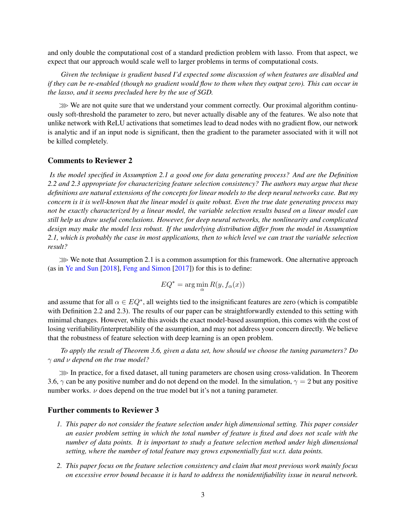and only double the computational cost of a standard prediction problem with lasso. From that aspect, we expect that our approach would scale well to larger problems in terms of computational costs.

*Given the technique is gradient based I'd expected some discussion of when features are disabled and if they can be re-enabled (though no gradient would flow to them when they output zero). This can occur in the lasso, and it seems precluded here by the use of SGD.*

≫ We are not quite sure that we understand your comment correctly. Our proximal algorithm continuously soft-threshold the parameter to zero, but never actually disable any of the features. We also note that unlike network with ReLU activations that sometimes lead to dead nodes with no gradient flow, our network is analytic and if an input node is significant, then the gradient to the parameter associated with it will not be killed completely.

## Comments to Reviewer 2

*Is the model specified in Assumption 2.1 a good one for data generating process? And are the Definition 2.2 and 2.3 appropriate for characterizing feature selection consistency? The authors may argue that these definitions are natural extensions of the concepts for linear models to the deep neural networks case. But my concern is it is well-known that the linear model is quite robust. Even the true date generating process may not be exactly characterized by a linear model, the variable selection results based on a linear model can still help us draw useful conclusions. However, for deep neural networks, the nonlinearity and complicated design may make the model less robust. If the underlying distribution differ from the model in Assumption 2.1, which is probably the case in most applications, then to which level we can trust the variable selection result?*

≫ We note that Assumption 2.1 is a common assumption for this framework. One alternative approach (as in [Ye and Sun](#page-4-2) [\[2018\]](#page-4-2), [Feng and Simon](#page-4-4) [\[2017\]](#page-4-4)) for this is to define:

$$
EQ^* = \arg\min_{\alpha} R(y, f_{\alpha}(x))
$$

and assume that for all  $\alpha \in EQ^*$ , all weights tied to the insignificant features are zero (which is compatible with Definition 2.2 and 2.3). The results of our paper can be straightforwardly extended to this setting with minimal changes. However, while this avoids the exact model-based assumption, this comes with the cost of losing verifiability/interpretability of the assumption, and may not address your concern directly. We believe that the robustness of feature selection with deep learning is an open problem.

*To apply the result of Theorem 3.6, given a data set, how should we choose the tuning parameters? Do* γ *and* ν *depend on the true model?*

≫ In practice, for a fixed dataset, all tuning parameters are chosen using cross-validation. In Theorem 3.6,  $\gamma$  can be any positive number and do not depend on the model. In the simulation,  $\gamma = 2$  but any positive number works.  $\nu$  does depend on the true model but it's not a tuning parameter.

## Further comments to Reviewer 3

- *1. This paper do not consider the feature selection under high dimensional setting. This paper consider an easier problem setting in which the total number of feature is fixed and does not scale with the number of data points. It is important to study a feature selection method under high dimensional setting, where the number of total feature may grows exponentially fast w.r.t. data points.*
- *2. This paper focus on the feature selection consistency and claim that most previous work mainly focus on excessive error bound because it is hard to address the nonidentifiability issue in neural network.*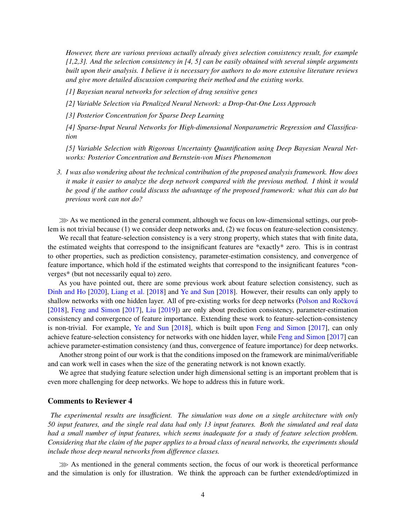*However, there are various previous actually already gives selection consistency result, for example [1,2,3]. And the selection consistency in [4, 5] can be easily obtained with several simple arguments built upon their analysis. I believe it is necessary for authors to do more extensive literature reviews and give more detailed discussion comparing their method and the existing works.*

*[1] Bayesian neural networks for selection of drug sensitive genes*

*[2] Variable Selection via Penalized Neural Network: a Drop-Out-One Loss Approach*

*[3] Posterior Concentration for Sparse Deep Learning*

*[4] Sparse-Input Neural Networks for High-dimensional Nonparametric Regression and Classification*

*[5] Variable Selection with Rigorous Uncertainty Quantification using Deep Bayesian Neural Networks: Posterior Concentration and Bernstein-von Mises Phenomenon*

*3. I was also wondering about the technical contribution of the proposed analysis framework. How does it make it easier to analyze the deep network compared with the previous method. I think it would be good if the author could discuss the advantage of the proposed framework: what this can do but previous work can not do?*

≫As we mentioned in the general comment, although we focus on low-dimensional settings, our problem is not trivial because (1) we consider deep networks and, (2) we focus on feature-selection consistency.

We recall that feature-selection consistency is a very strong property, which states that with finite data, the estimated weights that correspond to the insignificant features are \*exactly\* zero. This is in contrast to other properties, such as prediction consistency, parameter-estimation consistency, and convergence of feature importance, which hold if the estimated weights that correspond to the insignificant features \*converges\* (but not necessarily equal to) zero.

As you have pointed out, there are some previous work about feature selection consistency, such as [Dinh and Ho](#page-4-0) [\[2020\]](#page-4-0), [Liang et al.](#page-4-1) [\[2018\]](#page-4-1) and [Ye and Sun](#page-4-2) [\[2018\]](#page-4-2). However, their results can only apply to shallow networks with one hidden layer. All of pre-existing works for deep networks (Polson and Ročková [\[2018\]](#page-4-3), [Feng and Simon](#page-4-4) [\[2017\]](#page-4-4), [Liu](#page-4-5) [\[2019\]](#page-4-5)) are only about prediction consistency, parameter-estimation consistency and convergence of feature importance. Extending these work to feature-selection-consistency is non-trivial. For example, [Ye and Sun](#page-4-2) [\[2018\]](#page-4-2), which is built upon [Feng and Simon](#page-4-4) [\[2017\]](#page-4-4), can only achieve feature-selection consistency for networks with one hidden layer, while [Feng and Simon](#page-4-4) [\[2017\]](#page-4-4) can achieve parameter-estimation consistency (and thus, convergence of feature importance) for deep networks.

Another strong point of our work is that the conditions imposed on the framework are minimal/verifiable and can work well in cases when the size of the generating network is not known exactly.

We agree that studying feature selection under high dimensional setting is an important problem that is even more challenging for deep networks. We hope to address this in future work.

#### Comments to Reviewer 4

*The experimental results are insufficient. The simulation was done on a single architecture with only 50 input features, and the single real data had only 13 input features. Both the simulated and real data had a small number of input features, which seems inadequate for a study of feature selection problem. Considering that the claim of the paper applies to a broad class of neural networks, the experiments should include those deep neural networks from difference classes.*

≫ As mentioned in the general comments section, the focus of our work is theoretical performance and the simulation is only for illustration. We think the approach can be further extended/optimized in